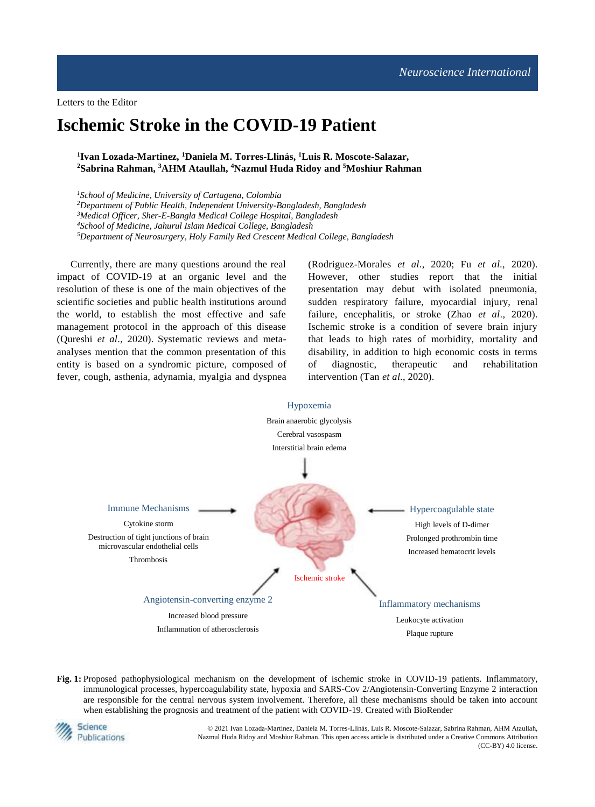Letters to the Editor

# **Ischemic Stroke in the COVID-19 Patient**

## **1 Ivan Lozada-Martinez, <sup>1</sup>Daniela M. Torres-Llinás, <sup>1</sup>Luis R. Moscote-Salazar, <sup>2</sup>Sabrina Rahman, <sup>3</sup>AHM Ataullah, <sup>4</sup>Nazmul Huda Ridoy and <sup>5</sup>Moshiur Rahman**

*School of Medicine, University of Cartagena, Colombia Department of Public Health, Independent University-Bangladesh, Bangladesh Medical Officer, Sher-E-Bangla Medical College Hospital, Bangladesh School of Medicine, Jahurul Islam Medical College, Bangladesh Department of Neurosurgery, Holy Family Red Crescent Medical College, Bangladesh*

Currently, there are many questions around the real impact of COVID-19 at an organic level and the resolution of these is one of the main objectives of the scientific societies and public health institutions around the world, to establish the most effective and safe management protocol in the approach of this disease (Qureshi *et al*., 2020). Systematic reviews and metaanalyses mention that the common presentation of this entity is based on a syndromic picture, composed of fever, cough, asthenia, adynamia, myalgia and dyspnea (Rodriguez-Morales *et al*., 2020; Fu *et al*., 2020). However, other studies report that the initial presentation may debut with isolated pneumonia, sudden respiratory failure, myocardial injury, renal failure, encephalitis, or stroke (Zhao *et al*., 2020). Ischemic stroke is a condition of severe brain injury that leads to high rates of morbidity, mortality and disability, in addition to high economic costs in terms of diagnostic, therapeutic and rehabilitation intervention (Tan *et al*., 2020).



**Fig. 1:** Proposed pathophysiological mechanism on the development of ischemic stroke in COVID-19 patients. Inflammatory, immunological processes, hypercoagulability state, hypoxia and SARS-Cov 2/Angiotensin-Converting Enzyme 2 interaction are responsible for the central nervous system involvement. Therefore, all these mechanisms should be taken into account when establishing the prognosis and treatment of the patient with COVID-19. Created with BioRender



© 2021 Ivan Lozada-Martinez, Daniela M. Torres-Llinás, Luis R. Moscote-Salazar, Sabrina Rahman, AHM Ataullah, Nazmul Huda Ridoy and Moshiur Rahman. This open access article is distributed under a Creative Commons Attribution (CC-BY) 4.0 license.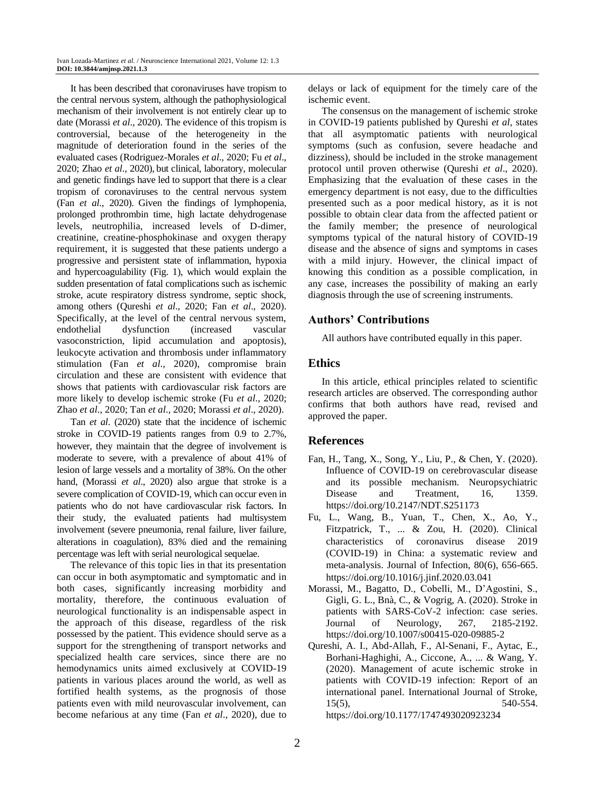It has been described that coronaviruses have tropism to the central nervous system, although the pathophysiological mechanism of their involvement is not entirely clear up to date (Morassi *et al*., 2020). The evidence of this tropism is controversial, because of the heterogeneity in the magnitude of deterioration found in the series of the evaluated cases (Rodriguez-Morales *et al*., 2020; Fu *et al*., 2020; Zhao *et al*., 2020), but clinical, laboratory, molecular and genetic findings have led to support that there is a clear tropism of coronaviruses to the central nervous system (Fan *et al*., 2020). Given the findings of lymphopenia, prolonged prothrombin time, high lactate dehydrogenase levels, neutrophilia, increased levels of D-dimer, creatinine, creatine-phosphokinase and oxygen therapy requirement, it is suggested that these patients undergo a progressive and persistent state of inflammation, hypoxia and hypercoagulability (Fig. 1), which would explain the sudden presentation of fatal complications such as ischemic stroke, acute respiratory distress syndrome, septic shock, among others (Qureshi *et al*., 2020; Fan *et al*., 2020). Specifically, at the level of the central nervous system, endothelial dysfunction (increased vascular vasoconstriction, lipid accumulation and apoptosis), leukocyte activation and thrombosis under inflammatory stimulation (Fan *et al*., 2020), compromise brain circulation and these are consistent with evidence that shows that patients with cardiovascular risk factors are more likely to develop ischemic stroke (Fu *et al*., 2020; Zhao *et al*., 2020; Tan *et al*., 2020; Morassi *et al*., 2020).

Tan *et al*. (2020) state that the incidence of ischemic stroke in COVID-19 patients ranges from 0.9 to 2.7%, however, they maintain that the degree of involvement is moderate to severe, with a prevalence of about 41% of lesion of large vessels and a mortality of 38%. On the other hand, (Morassi *et al*., 2020) also argue that stroke is a severe complication of COVID-19, which can occur even in patients who do not have cardiovascular risk factors. In their study, the evaluated patients had multisystem involvement (severe pneumonia, renal failure, liver failure, alterations in coagulation), 83% died and the remaining percentage was left with serial neurological sequelae.

The relevance of this topic lies in that its presentation can occur in both asymptomatic and symptomatic and in both cases, significantly increasing morbidity and mortality, therefore, the continuous evaluation of neurological functionality is an indispensable aspect in the approach of this disease, regardless of the risk possessed by the patient. This evidence should serve as a support for the strengthening of transport networks and specialized health care services, since there are no hemodynamics units aimed exclusively at COVID-19 patients in various places around the world, as well as fortified health systems, as the prognosis of those patients even with mild neurovascular involvement, can become nefarious at any time (Fan *et al*., 2020), due to delays or lack of equipment for the timely care of the ischemic event.

The consensus on the management of ischemic stroke in COVID-19 patients published by Qureshi *et al*, states that all asymptomatic patients with neurological symptoms (such as confusion, severe headache and dizziness), should be included in the stroke management protocol until proven otherwise (Qureshi *et al*., 2020). Emphasizing that the evaluation of these cases in the emergency department is not easy, due to the difficulties presented such as a poor medical history, as it is not possible to obtain clear data from the affected patient or the family member; the presence of neurological symptoms typical of the natural history of COVID-19 disease and the absence of signs and symptoms in cases with a mild injury. However, the clinical impact of knowing this condition as a possible complication, in any case, increases the possibility of making an early diagnosis through the use of screening instruments.

## **Authors' Contributions**

All authors have contributed equally in this paper.

### **Ethics**

In this article, ethical principles related to scientific research articles are observed. The corresponding author confirms that both authors have read, revised and approved the paper.

### **References**

- Fan, H., Tang, X., Song, Y., Liu, P., & Chen, Y. (2020). Influence of COVID-19 on cerebrovascular disease and its possible mechanism. Neuropsychiatric Disease and Treatment, 16, 1359. https://doi.org/10.2147/NDT.S251173
- Fu, L., Wang, B., Yuan, T., Chen, X., Ao, Y., Fitzpatrick, T., ... & Zou, H. (2020). Clinical characteristics of coronavirus disease 2019 (COVID-19) in China: a systematic review and meta-analysis. Journal of Infection, 80(6), 656-665. https://doi.org/10.1016/j.jinf.2020.03.041
- Morassi, M., Bagatto, D., Cobelli, M., D'Agostini, S., Gigli, G. L., Bnà, C., & Vogrig, A. (2020). Stroke in patients with SARS-CoV-2 infection: case series. Journal of Neurology, 267, 2185-2192. https://doi.org/10.1007/s00415-020-09885-2
- Qureshi, A. I., Abd-Allah, F., Al-Senani, F., Aytac, E., Borhani-Haghighi, A., Ciccone, A., ... & Wang, Y. (2020). Management of acute ischemic stroke in patients with COVID-19 infection: Report of an international panel. International Journal of Stroke, 15(5), 540-554. https://doi.org/10.1177/1747493020923234